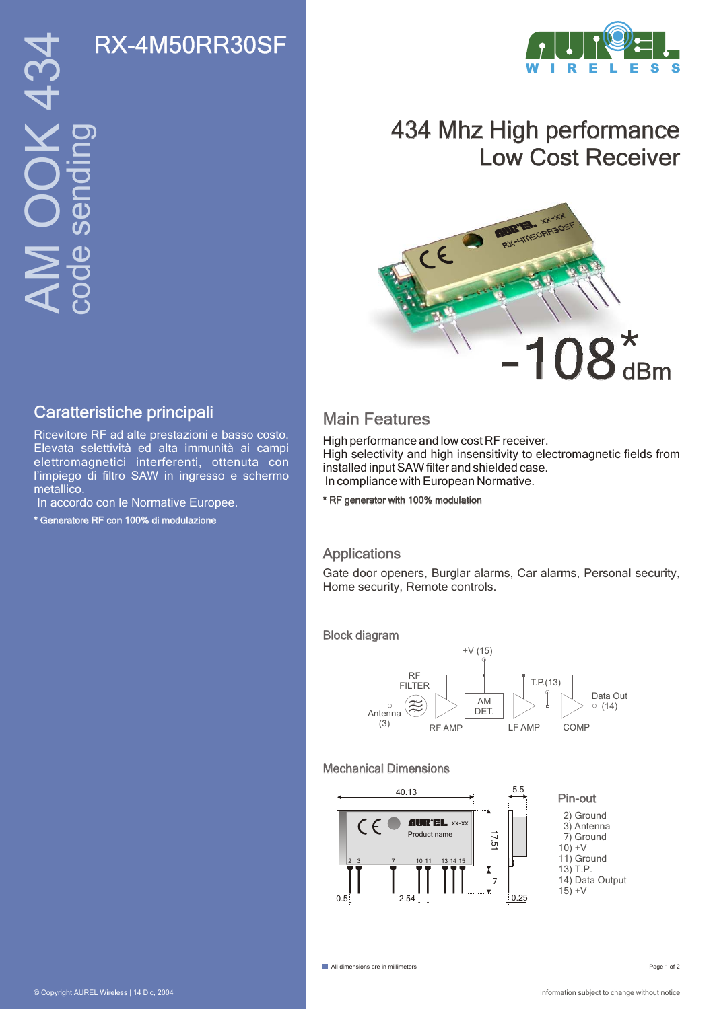

## 434 Mhz High performance Low Cost Receiver



### Caratteristiche principali<br>
Main Features

Ricevitore RF ad alte prestazioni e basso costo. Elevata selettività ed alta immunità ai campi elettromagnetici interferenti, ottenuta con l'impiego di filtro SAW in ingresso e schermo metallico.

In accordo con le Normative Europee.

\* Generatore RF con 100% di modulazione

High performance and low cost RF receiver. High selectivity and high insensitivity to electromagnetic fields from installed input SAW filter and shielded case. In compliance with European Normative.

\* RF generator with 100% modulation

### Applications

Gate door openers, Burglar alarms, Car alarms, Personal security, Home security, Remote controls.

#### Block diagram



#### Mechanical Dimensions